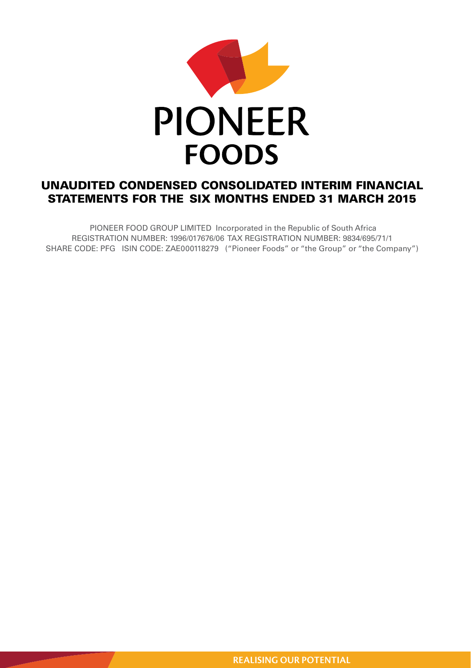

## UNAUDITED CONDENSED CONSOLIDATED INTERIM FINANCIAL STATEMENTS FOR THE SIX MONTHS ENDED 31 MARCH 2015

 PIONEER FOOD GROUP LIMITED Incorporated in the Republic of South Africa REGISTRATION NUMBER: 1996/017676/06 TAX REGISTRATION NUMBER: 9834/695/71/1 SHARE CODE: PFG ISIN CODE: ZAE000118279 ("Pioneer Foods" or "the Group" or "the Company")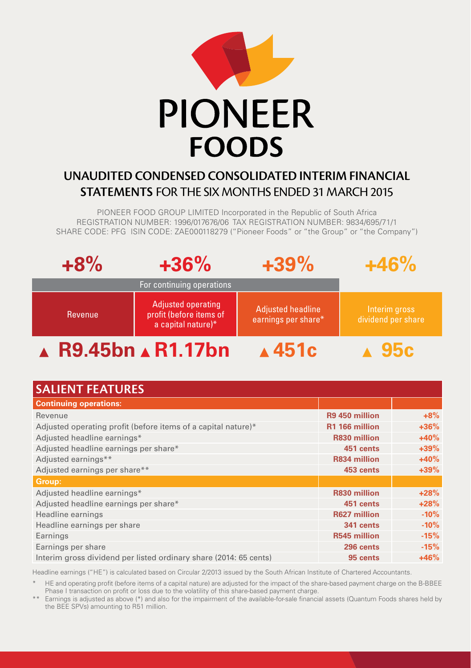

## **UNAUDITED CONDENSED CONSOLIDATED INTERIM FINANCIAL STATEMENTS** FOR THE SIX MONTHS ENDED 31 MARCH 2015

PIONEER FOOD GROUP LIMITED Incorporated in the Republic of South Africa REGISTRATION NUMBER: 1996/017676/06 TAX REGISTRATION NUMBER: 9834/695/71/1 SHARE CODE: PFG ISIN CODE: ZAE000118279 ("Pioneer Foods" or "the Group" or "the Company")

| $+8%$   | $+36%$                                                                     | $+39%$                                          | $+46%$                              |
|---------|----------------------------------------------------------------------------|-------------------------------------------------|-------------------------------------|
|         | For continuing operations                                                  |                                                 |                                     |
| Revenue | <b>Adjusted operating</b><br>profit (before items of<br>a capital nature)* | <b>Adjusted headline</b><br>earnings per share* | Interim gross<br>dividend per share |
|         | <b>R9.45bn ∡ R1.17bn</b>                                                   | ∡ 451с                                          | 95c                                 |

| <b>SALIENT FEATURES</b>                                           |                |        |
|-------------------------------------------------------------------|----------------|--------|
| <b>Continuing operations:</b>                                     |                |        |
| Revenue                                                           | R9 450 million | $+8\%$ |
| Adjusted operating profit (before items of a capital nature)*     | R1 166 million | $+36%$ |
| Adjusted headline earnings*                                       | R830 million   | $+40%$ |
| Adjusted headline earnings per share*                             | 451 cents      | $+39%$ |
| Adjusted earnings**                                               | R834 million   | $+40%$ |
| Adjusted earnings per share**                                     | 453 cents      | $+39%$ |
| <b>Group:</b>                                                     |                |        |
| Adjusted headline earnings*                                       | R830 million   | $+28%$ |
| Adjusted headline earnings per share*                             | 451 cents      | $+28%$ |
| Headline earnings                                                 | R627 million   | $-10%$ |
| Headline earnings per share                                       | 341 cents      | $-10%$ |
| Earnings                                                          | R545 million   | $-15%$ |
| Earnings per share                                                | 296 cents      | $-15%$ |
| Interim gross dividend per listed ordinary share (2014: 65 cents) | 95 cents       | $+46%$ |

Headline earnings ("HE") is calculated based on Circular 2/2013 issued by the South African Institute of Chartered Accountants.

- HE and operating profit (before items of a capital nature) are adjusted for the impact of the share-based payment charge on the B-BBEE Phase I transaction on profit or loss due to the volatility of this share-based payment charge.
- \*\* Earnings is adjusted as above (\*) and also for the impairment of the available-for-sale financial assets (Quantum Foods shares held by the BEE SPVs) amounting to R51 million.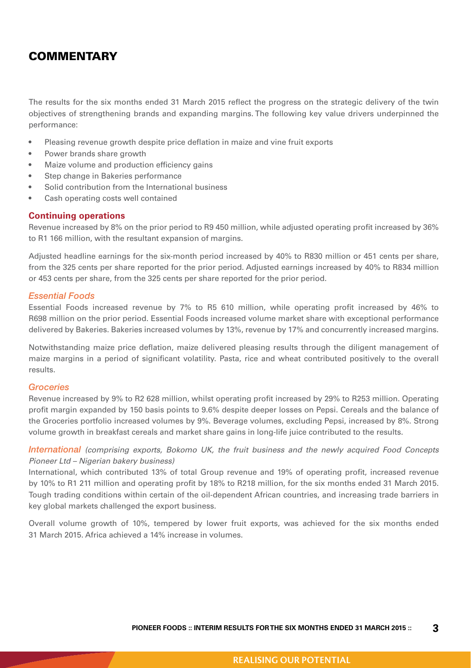## **COMMENTARY**

The results for the six months ended 31 March 2015 reflect the progress on the strategic delivery of the twin objectives of strengthening brands and expanding margins. The following key value drivers underpinned the performance:

- Pleasing revenue growth despite price deflation in maize and vine fruit exports
- Power brands share growth
- Maize volume and production efficiency gains
- Step change in Bakeries performance
- Solid contribution from the International business
- Cash operating costs well contained

#### **Continuing operations**

Revenue increased by 8% on the prior period to R9 450 million, while adjusted operating profit increased by 36% to R1 166 million, with the resultant expansion of margins.

Adjusted headline earnings for the six-month period increased by 40% to R830 million or 451 cents per share, from the 325 cents per share reported for the prior period. Adjusted earnings increased by 40% to R834 million or 453 cents per share, from the 325 cents per share reported for the prior period.

#### *Essential Foods*

Essential Foods increased revenue by 7% to R5 610 million, while operating profit increased by 46% to R698 million on the prior period. Essential Foods increased volume market share with exceptional performance delivered by Bakeries. Bakeries increased volumes by 13%, revenue by 17% and concurrently increased margins.

Notwithstanding maize price deflation, maize delivered pleasing results through the diligent management of maize margins in a period of significant volatility. Pasta, rice and wheat contributed positively to the overall results.

#### *Groceries*

Revenue increased by 9% to R2 628 million, whilst operating profit increased by 29% to R253 million. Operating profit margin expanded by 150 basis points to 9.6% despite deeper losses on Pepsi. Cereals and the balance of the Groceries portfolio increased volumes by 9%. Beverage volumes, excluding Pepsi, increased by 8%. Strong volume growth in breakfast cereals and market share gains in long-life juice contributed to the results.

*International (comprising exports, Bokomo UK, the fruit business and the newly acquired Food Concepts Pioneer Ltd – Nigerian bakery business)*

International, which contributed 13% of total Group revenue and 19% of operating profit, increased revenue by 10% to R1 211 million and operating profit by 18% to R218 million, for the six months ended 31 March 2015. Tough trading conditions within certain of the oil-dependent African countries, and increasing trade barriers in key global markets challenged the export business.

Overall volume growth of 10%, tempered by lower fruit exports, was achieved for the six months ended 31 March 2015. Africa achieved a 14% increase in volumes.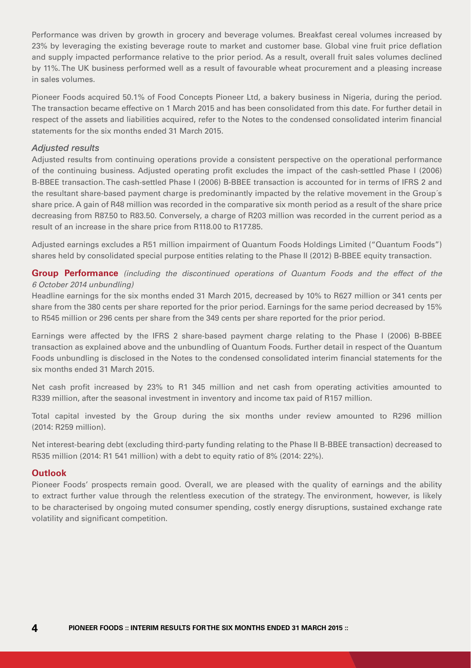and supply impacted performance relative to the prior period. As a result, overall fruit sales volumes declined Performance was driven by growth in grocery and beverage volumes. Breakfast cereal volumes increased by 23% by leveraging the existing beverage route to market and customer base. Global vine fruit price deflation by 11%. The UK business performed well as a result of favourable wheat procurement and a pleasing increase in sales volumes.

Pioneer Foods acquired 50.1% of Food Concepts Pioneer Ltd, a bakery business in Nigeria, during the period. The transaction became effective on 1 March 2015 and has been consolidated from this date. For further detail in respect of the assets and liabilities acquired, refer to the Notes to the condensed consolidated interim financial statements for the six months ended 31 March 2015.

#### *Adjusted results*

Adjusted results from continuing operations provide a consistent perspective on the operational performance of the continuing business. Adjusted operating profit excludes the impact of the cash-settled Phase I (2006) B-BBEE transaction. The cash-settled Phase I (2006) B-BBEE transaction is accounted for in terms of IFRS 2 and the resultant share-based payment charge is predominantly impacted by the relative movement in the Group´s share price. A gain of R48 million was recorded in the comparative six month period as a result of the share price decreasing from R87.50 to R83.50. Conversely, a charge of R203 million was recorded in the current period as a result of an increase in the share price from R118.00 to R177.85.

Adjusted earnings excludes a R51 million impairment of Quantum Foods Holdings Limited ("Quantum Foods") shares held by consolidated special purpose entities relating to the Phase II (2012) B-BBEE equity transaction.

#### **Group Performance** *(including the discontinued operations of Quantum Foods and the effect of the 6 October 2014 unbundling)*

Headline earnings for the six months ended 31 March 2015, decreased by 10% to R627 million or 341 cents per share from the 380 cents per share reported for the prior period. Earnings for the same period decreased by 15% to R545 million or 296 cents per share from the 349 cents per share reported for the prior period.

Earnings were affected by the IFRS 2 share-based payment charge relating to the Phase I (2006) B-BBEE transaction as explained above and the unbundling of Quantum Foods. Further detail in respect of the Quantum Foods unbundling is disclosed in the Notes to the condensed consolidated interim financial statements for the six months ended 31 March 2015.

Net cash profit increased by 23% to R1 345 million and net cash from operating activities amounted to R339 million, after the seasonal investment in inventory and income tax paid of R157 million.

Total capital invested by the Group during the six months under review amounted to R296 million (2014: R259 million).

Net interest-bearing debt (excluding third-party funding relating to the Phase II B-BBEE transaction) decreased to R535 million (2014: R1 541 million) with a debt to equity ratio of 8% (2014: 22%).

#### **Outlook**

Pioneer Foods' prospects remain good. Overall, we are pleased with the quality of earnings and the ability to extract further value through the relentless execution of the strategy. The environment, however, is likely to be characterised by ongoing muted consumer spending, costly energy disruptions, sustained exchange rate volatility and significant competition.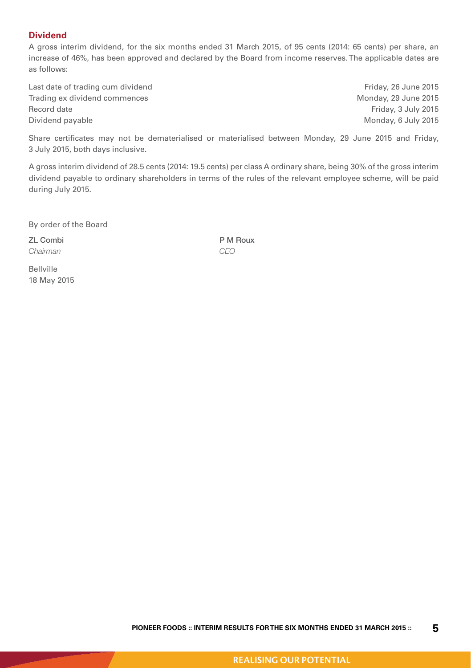#### **Dividend**

A gross interim dividend, for the six months ended 31 March 2015, of 95 cents (2014: 65 cents) per share, an increase of 46%, has been approved and declared by the Board from income reserves. The applicable dates are as follows:

Last date of trading cum dividend Friday, 26 June 2015 Trading ex dividend commences and the state of the Monday, 29 June 2015 Record date **Friday, 3 July 2015** Dividend payable Monday, 6 July 2015

Share certificates may not be dematerialised or materialised between Monday, 29 June 2015 and Friday, 3 July 2015, both days inclusive.

A gross interim dividend of 28.5 cents (2014: 19.5 cents) per class A ordinary share, being 30% of the gross interim dividend payable to ordinary shareholders in terms of the rules of the relevant employee scheme, will be paid during July 2015.

By order of the Board

ZL Combi P M Roux *Chairman CEO*

Bellville 18 May 2015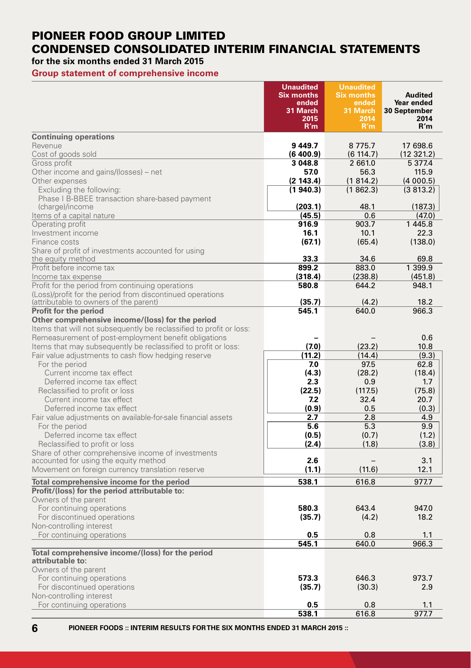## PIONEER FOOD GROUP LIMITED

CONDENSED CONSOLIDATED INTERIM FINANCIAL STATEMENTS

**be continued by the six months ended 31 March 2015** 

**Group statement of comprehensive income**

|                                                                      | <b>Unaudited</b>  | <b>Unaudited</b>  |                |
|----------------------------------------------------------------------|-------------------|-------------------|----------------|
|                                                                      | <b>Six months</b> | <b>Six months</b> | <b>Audited</b> |
|                                                                      | ended             | ended             | Year ended     |
|                                                                      | 31 March          | 31 March          | 30 September   |
|                                                                      | 2015              | 2014              | 2014           |
|                                                                      | R'm               | R'm               | R'm            |
| <b>Continuing operations</b>                                         |                   |                   |                |
|                                                                      |                   |                   |                |
| Revenue                                                              | 9449.7            | 8775.7            | 17 698.6       |
| Cost of goods sold                                                   | (6, 400.9)        | (6114.7)          | (12321.2)      |
| Gross profit                                                         | 3 048.8           | 2 661.0           | 5 377.4        |
| Other income and gains/(losses) – net                                | 57.0              | 56.3              | 115.9          |
| Other expenses                                                       | (2 143.4)         | (1814.2)          | (4000.5)       |
| Excluding the following:                                             | (1940.3)          | (1862.3)          | (3813.2)       |
| Phase I B-BBEE transaction share-based payment                       |                   |                   |                |
| (charge)/income                                                      | (203.1)           | 48.1              | (187.3)        |
|                                                                      |                   | 0.6               |                |
| Items of a capital nature                                            | (45.5)            |                   | (47.0)         |
| Operating profit                                                     | 916.9             | 903.7             | 1445.8         |
| Investment income                                                    | 16.1              | 10.1              | 22.3           |
| Finance costs                                                        | (67.1)            | (65.4)            | (138.0)        |
| Share of profit of investments accounted for using                   |                   |                   |                |
| the equity method                                                    | 33.3              | 34.6              | 69.8           |
| Profit before income tax                                             | 899.2             | 883.0             | 1 399.9        |
| Income tax expense                                                   | (318.4)           | (238.8)           | (451.8)        |
| Profit for the period from continuing operations                     | 580.8             | 644.2             | 948.1          |
| (Loss)/profit for the period from discontinued operations            |                   |                   |                |
| (attributable to owners of the parent)                               | (35.7)            | (4.2)             | 18.2           |
| Profit for the period                                                | 545.1             | 640.0             | 966.3          |
|                                                                      |                   |                   |                |
| Other comprehensive income/(loss) for the period                     |                   |                   |                |
| Items that will not subsequently be reclassified to profit or loss:  |                   |                   |                |
| Remeasurement of post-employment benefit obligations                 |                   |                   | 0.6            |
| Items that may subsequently be reclassified to profit or loss:       | (7.0)             | (23.2)            | 10.8           |
| Fair value adjustments to cash flow hedging reserve                  | (11.2)            | (14.4)            | (9.3)          |
| For the period                                                       | 7.0               | 97.5              | 62.8           |
| Current income tax effect                                            | (4.3)             | (28.2)            | (18.4)         |
| Deferred income tax effect                                           | 2.3               | 0.9               | 1.7            |
| Reclassified to profit or loss                                       | (22.5)            | (117.5)           | (75.8)         |
| Current income tax effect                                            | 7.2               | 32.4              | 20.7           |
|                                                                      |                   |                   |                |
| Deferred income tax effect                                           | (0.9)             | 0.5               | (0.3)          |
| Fair value adiustments on available-for-sale financial assets        | 2.7               | 2.8               | 4.9            |
| For the period                                                       | 5.6               | 5.3               | 9.9            |
| Deferred income tax effect                                           | (0.5)             | (0.7)             | (1.2)          |
| Reclassified to profit or loss                                       | (2.4)             | (1.8)             | (3.8)          |
| Share of other comprehensive income of investments                   |                   |                   |                |
| accounted for using the equity method                                | 2.6               |                   | 3.1            |
| Movement on foreign currency translation reserve                     | (1.1)             | (11.6)            | 12.1           |
| Total comprehensive income for the period                            | 538.1             | 616.8             | 977.7          |
|                                                                      |                   |                   |                |
| Profit/(loss) for the period attributable to:                        |                   |                   |                |
| Owners of the parent                                                 |                   |                   |                |
| For continuing operations                                            | 580.3             | 643.4             | 947.0          |
| For discontinued operations                                          | (35.7)            | (4.2)             | 18.2           |
| Non-controlling interest                                             |                   |                   |                |
| For continuing operations                                            | 0.5               | 0.8               | 1.1            |
|                                                                      | 545.1             | 640.0             | 966.3          |
| Total comprehensive income/(loss) for the period<br>attributable to: |                   |                   |                |
| Owners of the parent                                                 |                   |                   |                |
| For continuing operations                                            | 573.3             | 646.3             | 973.7          |
| For discontinued operations                                          | (35.7)            | (30.3)            | 2.9            |
| Non-controlling interest                                             |                   |                   |                |
| For continuing operations                                            | 0.5               | 0.8               | 1.1            |
|                                                                      | 538.1             | 616.8             | 977.7          |
|                                                                      |                   |                   |                |

**6 PIONEER FOODS :: INTERIM RESULTS FOR THE SIX MONTHS ENDED 31 MARCH 2015 ::**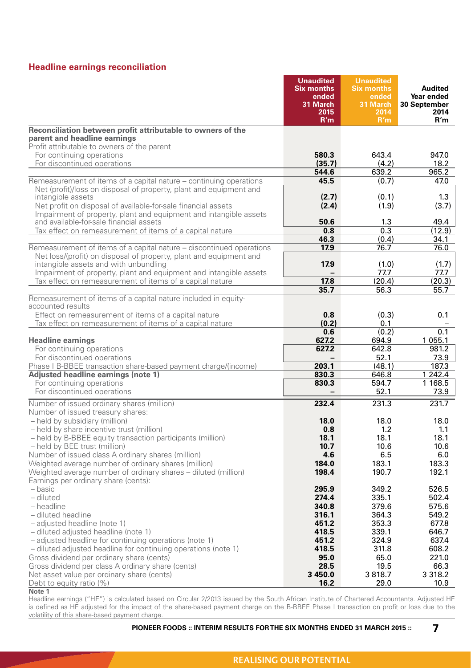#### **Headline earnings reconciliation**

|                                                                                                                               | <b>Unaudited</b><br><b>Six months</b><br>ended<br>31 March<br>2015<br>R'm | <b>Unaudited</b><br><b>Six months</b><br>ended<br>31 March<br>2014<br>R'm | Audited<br>Year ended<br>30 September<br>2014<br>R'm |
|-------------------------------------------------------------------------------------------------------------------------------|---------------------------------------------------------------------------|---------------------------------------------------------------------------|------------------------------------------------------|
| Reconciliation between profit attributable to owners of the                                                                   |                                                                           |                                                                           |                                                      |
| parent and headline earnings                                                                                                  |                                                                           |                                                                           |                                                      |
| Profit attributable to owners of the parent                                                                                   | 580.3                                                                     | 643.4                                                                     | 947.0                                                |
| For continuing operations<br>For discontinued operations                                                                      | (35.7)                                                                    | (4.2)                                                                     | 18.2                                                 |
|                                                                                                                               | 544.6                                                                     | 639.2                                                                     | 965.2                                                |
| Remeasurement of items of a capital nature – continuing operations                                                            | 45.5                                                                      | (0.7)                                                                     | 47.0                                                 |
| Net (profit)/loss on disposal of property, plant and equipment and                                                            |                                                                           |                                                                           |                                                      |
| intangible assets                                                                                                             | (2.7)                                                                     | (0.1)                                                                     | 1.3                                                  |
| Net profit on disposal of available-for-sale financial assets                                                                 | (2.4)                                                                     | (1.9)                                                                     | (3.7)                                                |
| Impairment of property, plant and equipment and intangible assets<br>and available-for-sale financial assets                  | 50.6                                                                      | 1.3                                                                       | 49.4                                                 |
| Tax effect on remeasurement of items of a capital nature                                                                      | 0.8                                                                       | 0.3                                                                       | (12.9)                                               |
|                                                                                                                               | 46.3                                                                      | (0.4)                                                                     | 34.1                                                 |
| Remeasurement of items of a capital nature – discontinued operations                                                          | 17.9                                                                      | 76.7                                                                      | 76.0                                                 |
| Net loss/(profit) on disposal of property, plant and equipment and                                                            |                                                                           |                                                                           |                                                      |
| intangible assets and with unbundling                                                                                         | 17.9                                                                      | (1.0)                                                                     | (1.7)                                                |
| Impairment of property, plant and equipment and intangible assets<br>Tax effect on remeasurement of items of a capital nature | 17.8                                                                      | 77.7<br>(20.4)                                                            | 77.7<br>(20.3)                                       |
|                                                                                                                               | 35.7                                                                      | 56.3                                                                      | 55.7                                                 |
| Remeasurement of items of a capital nature included in equity-                                                                |                                                                           |                                                                           |                                                      |
| accounted results                                                                                                             |                                                                           |                                                                           |                                                      |
| Effect on remeasurement of items of a capital nature                                                                          | 0.8                                                                       | (0.3)                                                                     | 0.1                                                  |
| Tax effect on remeasurement of items of a capital nature                                                                      | (0.2)                                                                     | 0.1                                                                       |                                                      |
| <b>Headline earnings</b>                                                                                                      | 0.6<br>627.2                                                              | (0.2)<br>694.9                                                            | 0.1<br>1 055.1                                       |
| For continuing operations                                                                                                     | 627.2                                                                     | 642.8                                                                     | 981.2                                                |
| For discontinued operations                                                                                                   |                                                                           | 52.1                                                                      | 73.9                                                 |
| Phase I B-BBEE transaction share-based payment charge/(income)                                                                | 203.1                                                                     | (48.1)                                                                    | 187.3                                                |
| Adjusted headline earnings (note 1)                                                                                           | 830.3                                                                     | 646.8                                                                     | 1 242.4                                              |
| For continuing operations                                                                                                     | 830.3                                                                     | 594.7                                                                     | 1 1 68.5                                             |
| For discontinued operations                                                                                                   |                                                                           | 52.1                                                                      | 73.9                                                 |
| Number of issued ordinary shares (million)                                                                                    | 232.4                                                                     | 231.3                                                                     | 231.7                                                |
| Number of issued treasury shares:                                                                                             |                                                                           |                                                                           |                                                      |
| - held by subsidiary (million)<br>- held by share incentive trust (million)                                                   | 18.0<br>0.8                                                               | 18.0<br>1.2                                                               | 18.0<br>1.1                                          |
| - held by B-BBEE equity transaction participants (million)                                                                    | 18.1                                                                      | 18.1                                                                      | 18.1                                                 |
| - held by BEE trust (million)                                                                                                 | 10.7                                                                      | 10.6                                                                      | 10.6                                                 |
| Number of issued class A ordinary shares (million)                                                                            | 4.6                                                                       | 6.5                                                                       | 6.0                                                  |
| Weighted average number of ordinary shares (million)                                                                          | 184.0                                                                     | 183.1                                                                     | 183.3                                                |
| Weighted average number of ordinary shares – diluted (million)                                                                | 198.4                                                                     | 190.7                                                                     | 192.1                                                |
| Earnings per ordinary share (cents):<br>– basic                                                                               | 295.9                                                                     | 349.2                                                                     | 526.5                                                |
| hetulib -                                                                                                                     | 274.4                                                                     | 335.1                                                                     | 502.4                                                |
| - headline                                                                                                                    | 340.8                                                                     | 379.6                                                                     | 575.6                                                |
| - diluted headline                                                                                                            | 316.1                                                                     | 364.3                                                                     | 549.2                                                |
| - adjusted headline (note 1)                                                                                                  | 451.2                                                                     | 353.3                                                                     | 677.8                                                |
| - diluted adjusted headline (note 1)                                                                                          | 418.5                                                                     | 339.1                                                                     | 646.7                                                |
| - adjusted headline for continuing operations (note 1)                                                                        | 451.2                                                                     | 324.9                                                                     | 637.4                                                |
| - diluted adjusted headline for continuing operations (note 1)                                                                | 418.5                                                                     | 311.8                                                                     | 608.2                                                |
| Gross dividend per ordinary share (cents)<br>Gross dividend per class A ordinary share (cents)                                | 95.0<br>28.5                                                              | 65.0<br>19.5                                                              | 221.0<br>66.3                                        |
| Net asset value per ordinary share (cents)                                                                                    | 3 450.0                                                                   | 3818.7                                                                    | 3 3 1 8.2                                            |
|                                                                                                                               |                                                                           |                                                                           |                                                      |

#### **Note 1**

Headline earnings ("HE") is calculated based on Circular 2/2013 issued by the South African Institute of Chartered Accountants. Adjusted HE<br>is defined as HE adjusted for the impact of the share-based payment charge on the volatility of this share-based payment charge.

**PIONEER FOODS :: INTERIM RESULTS FOR THE SIX MONTHS ENDED 31 MARCH 2015 :: 7**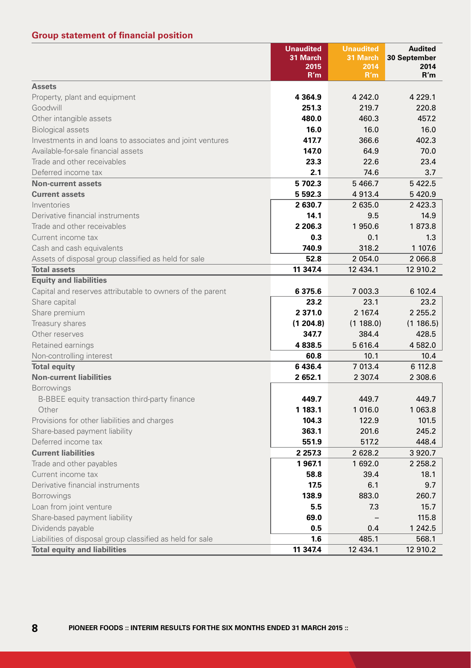## **Group statement of financial position**

|                                                           | <b>Unaudited</b><br>31 March | <b>Unaudited</b><br>31 March | <b>Audited</b><br>30 September |
|-----------------------------------------------------------|------------------------------|------------------------------|--------------------------------|
|                                                           | 2015                         | 2014                         | 2014                           |
|                                                           | R'm                          | R'm                          | R'm                            |
| <b>Assets</b>                                             |                              |                              |                                |
| Property, plant and equipment                             | 4 3 6 4 .9                   | 4 242.0                      | 4 2 2 9 . 1                    |
| Goodwill                                                  | 251.3                        | 219.7                        | 220.8                          |
| Other intangible assets                                   | 480.0                        | 460.3                        | 457.2                          |
| <b>Biological assets</b>                                  | 16.0                         | 16.0                         | 16.0                           |
| Investments in and loans to associates and joint ventures | 417.7                        | 366.6                        | 402.3                          |
| Available-for-sale financial assets                       | 147.0                        | 64.9                         | 70.0                           |
| Trade and other receivables                               | 23.3                         | 22.6                         | 23.4                           |
| Deferred income tax                                       | 2.1                          | 74.6                         | 3.7                            |
| <b>Non-current assets</b>                                 | 5702.3                       | 5 4 66.7                     | 5 4 2 2.5                      |
| <b>Current assets</b>                                     | 5 5 9 2.3                    | 4913.4                       | 5 4 2 0.9                      |
| Inventories                                               | 2630.7                       | 2 635.0                      | 2 4 2 3 . 3                    |
| Derivative financial instruments                          | 14.1                         | 9.5                          | 14.9                           |
| Trade and other receivables                               | 2 206.3                      | 1950.6                       | 1873.8                         |
| Current income tax                                        | 0.3                          | 0.1                          | 1.3                            |
| Cash and cash equivalents                                 | 740.9                        | 318.2                        | 1 107.6                        |
| Assets of disposal group classified as held for sale      | 52.8                         | 2 0 5 4 .0                   | 2 0 6 6.8                      |
| <b>Total assets</b>                                       | 11 347.4                     | 12 434.1                     | 12 910.2                       |
| <b>Equity and liabilities</b>                             |                              |                              |                                |
| Capital and reserves attributable to owners of the parent | 6375.6                       | 7 003.3                      | 6 102.4                        |
| Share capital                                             | 23.2                         | 23.1                         | 23.2                           |
| Share premium                                             | 2 371.0                      | 2 167.4                      | 2 2 5 5.2                      |
| Treasury shares                                           | (1 204.8)                    | (1 188.0)                    | (1186.5)                       |
| Other reserves                                            | 347.7                        | 384.4                        | 428.5                          |
| Retained earnings                                         | 4838.5                       | 5 616.4                      | 4582.0                         |
| Non-controlling interest                                  | 60.8                         | 10.1                         | 10.4                           |
| <b>Total equity</b>                                       | 6436.4                       | 7 013.4                      | 6 112.8                        |
| <b>Non-current liabilities</b>                            | 2 652.1                      | 2 307.4                      | 2 308.6                        |
| <b>Borrowings</b>                                         | 449.7                        | 449.7                        | 449.7                          |
| B-BBEE equity transaction third-party finance<br>Other    | 1 183.1                      | 1 016.0                      | 1 063.8                        |
| Provisions for other liabilities and charges              | 104.3                        | 122.9                        | 101.5                          |
|                                                           | 363.1                        | 201.6                        | 245.2                          |
| Share-based payment liability<br>Deferred income tax      | 551.9                        | 517.2                        | 448.4                          |
| <b>Current liabilities</b>                                | 2 2 5 7 . 3                  | 2 628.2                      | 3920.7                         |
| Trade and other payables                                  | 1967.1                       | 1692.0                       | 2 2 5 8.2                      |
| Current income tax                                        | 58.8                         | 39.4                         | 18.1                           |
| Derivative financial instruments                          | 17.5                         | 6.1                          | 9.7                            |
| Borrowings                                                | 138.9                        | 883.0                        | 260.7                          |
| Loan from joint venture                                   | 5.5                          | 7.3                          | 15.7                           |
| Share-based payment liability                             | 69.0                         |                              | 115.8                          |
| Dividends payable                                         | 0.5                          | 0.4                          | 1 242.5                        |
| Liabilities of disposal group classified as held for sale | 1.6                          | 485.1                        | 568.1                          |
| <b>Total equity and liabilities</b>                       | 11 347.4                     | 12 434.1                     | 12 910.2                       |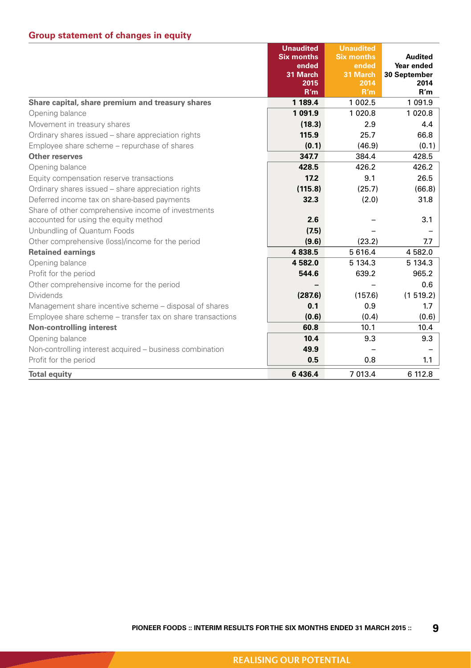|                                                            | <b>Unaudited</b>  | <b>Unaudited</b>  |                |
|------------------------------------------------------------|-------------------|-------------------|----------------|
|                                                            | <b>Six months</b> | <b>Six months</b> | <b>Audited</b> |
|                                                            | ended             | ended             | Year ended     |
|                                                            | 31 March          | 31 March          | 30 September   |
|                                                            | 2015<br>R'm       | 2014<br>R'm       | 2014<br>R'm    |
| Share capital, share premium and treasury shares           | 1 189.4           | 1 002.5           | 1 091.9        |
| Opening balance                                            | 1 091.9           | 1 0 2 0.8         | 1 0 2 0.8      |
| Movement in treasury shares                                | (18.3)            | 2.9               | 4.4            |
| Ordinary shares issued - share appreciation rights         | 115.9             | 25.7              | 66.8           |
| Employee share scheme – repurchase of shares               | (0.1)             | (46.9)            | (0.1)          |
| Other reserves                                             | 347.7             | 384.4             | 428.5          |
| Opening balance                                            | 428.5             | 426.2             | 426.2          |
| Equity compensation reserve transactions                   | 17.2              | 9.1               | 26.5           |
| Ordinary shares issued - share appreciation rights         | (115.8)           | (25.7)            | (66.8)         |
| Deferred income tax on share-based payments                | 32.3              | (2.0)             | 31.8           |
| Share of other comprehensive income of investments         |                   |                   |                |
| accounted for using the equity method                      | 2.6               |                   | 3.1            |
| Unbundling of Quantum Foods                                | (7.5)             |                   |                |
| Other comprehensive (loss)/income for the period           | (9.6)             | (23.2)            | 7.7            |
| <b>Retained earnings</b>                                   | 4838.5            | 5 6 1 6.4         | 4 582.0        |
| Opening balance                                            | 4582.0            | 5 134.3           | 5 134.3        |
| Profit for the period                                      | 544.6             | 639.2             | 965.2          |
| Other comprehensive income for the period                  |                   |                   | 0.6            |
| <b>Dividends</b>                                           | (287.6)           | (157.6)           | (1519.2)       |
| Management share incentive scheme - disposal of shares     | 0.1               | 0.9               | 1.7            |
| Employee share scheme - transfer tax on share transactions | (0.6)             | (0.4)             | (0.6)          |
| Non-controlling interest                                   | 60.8              | 10.1              | 10.4           |
| Opening balance                                            | 10.4              | 9.3               | 9.3            |
| Non-controlling interest acquired – business combination   | 49.9              |                   |                |
| Profit for the period                                      | 0.5               | 0.8               | 1.1            |
| <b>Total equity</b>                                        | 6 4 3 6.4         | 7 013.4           | 6 112.8        |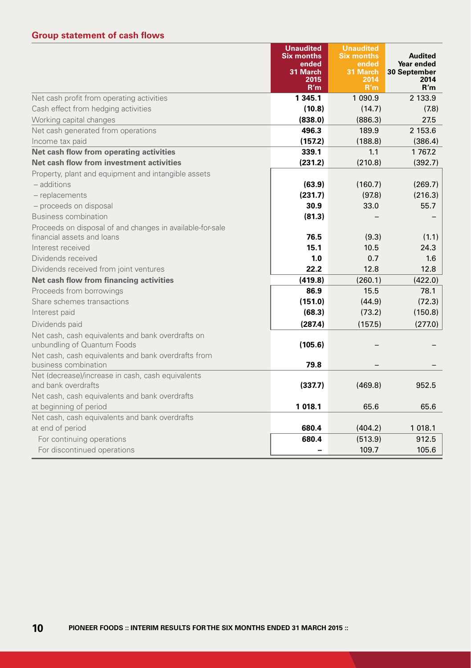## **Group statement of cash flows**

|                                                                                         | <b>Unaudited</b><br><b>Six months</b><br>ended<br>31 March | <b>Unaudited</b><br><b>Six months</b><br>ended<br>31 March | <b>Audited</b><br>Year ended<br>30 September |
|-----------------------------------------------------------------------------------------|------------------------------------------------------------|------------------------------------------------------------|----------------------------------------------|
|                                                                                         | 2015<br>R'm                                                | 2014<br>R'm                                                | 2014<br>R'm                                  |
| Net cash profit from operating activities                                               | 1 345.1                                                    | 1 0 9 0.9                                                  | 2 133.9                                      |
| Cash effect from hedging activities                                                     | (10.8)                                                     | (14.7)                                                     | (7.8)                                        |
| Working capital changes                                                                 | (838.0)                                                    | (886.3)                                                    | 27.5                                         |
| Net cash generated from operations                                                      | 496.3                                                      | 189.9                                                      | 2 153.6                                      |
| Income tax paid                                                                         | (157.2)                                                    | (188.8)                                                    | (386.4)                                      |
| Net cash flow from operating activities                                                 | 339.1                                                      | 1.1                                                        | 1 767.2                                      |
| Net cash flow from investment activities                                                | (231.2)                                                    | (210.8)                                                    | (392.7)                                      |
| Property, plant and equipment and intangible assets                                     |                                                            |                                                            |                                              |
| – additions                                                                             | (63.9)                                                     | (160.7)                                                    | (269.7)                                      |
| - replacements                                                                          | (231.7)                                                    | (97.8)                                                     | (216.3)                                      |
| - proceeds on disposal                                                                  | 30.9                                                       | 33.0                                                       | 55.7                                         |
| <b>Business combination</b>                                                             | (81.3)                                                     |                                                            |                                              |
| Proceeds on disposal of and changes in available-for-sale<br>financial assets and loans |                                                            |                                                            |                                              |
| Interest received                                                                       | 76.5<br>15.1                                               | (9.3)<br>10.5                                              | (1.1)<br>24.3                                |
| Dividends received                                                                      | 1.0                                                        | 0.7                                                        | 1.6                                          |
| Dividends received from joint ventures                                                  | 22.2                                                       | 12.8                                                       | 12.8                                         |
| Net cash flow from financing activities                                                 | (419.8)                                                    | (260.1)                                                    | (422.0)                                      |
| Proceeds from borrowings                                                                | 86.9                                                       | 15.5                                                       | 78.1                                         |
| Share schemes transactions                                                              | (151.0)                                                    | (44.9)                                                     | (72.3)                                       |
| Interest paid                                                                           | (68.3)                                                     | (73.2)                                                     | (150.8)                                      |
| Dividends paid                                                                          | (287.4)                                                    | (157.5)                                                    | (277.0)                                      |
| Net cash, cash equivalents and bank overdrafts on                                       |                                                            |                                                            |                                              |
| unbundling of Quantum Foods                                                             | (105.6)                                                    |                                                            |                                              |
| Net cash, cash equivalents and bank overdrafts from                                     |                                                            |                                                            |                                              |
| business combination                                                                    | 79.8                                                       |                                                            |                                              |
| Net (decrease)/increase in cash, cash equivalents                                       |                                                            |                                                            |                                              |
| and bank overdrafts                                                                     | (337.7)                                                    | (469.8)                                                    | 952.5                                        |
| Net cash, cash equivalents and bank overdrafts                                          |                                                            |                                                            |                                              |
| at beginning of period                                                                  | 1 018.1                                                    | 65.6                                                       | 65.6                                         |
| Net cash, cash equivalents and bank overdrafts                                          |                                                            |                                                            |                                              |
| at end of period                                                                        | 680.4                                                      | (404.2)                                                    | 1 018.1                                      |
| For continuing operations                                                               | 680.4                                                      | (513.9)                                                    | 912.5                                        |
| For discontinued operations                                                             |                                                            | 109.7                                                      | 105.6                                        |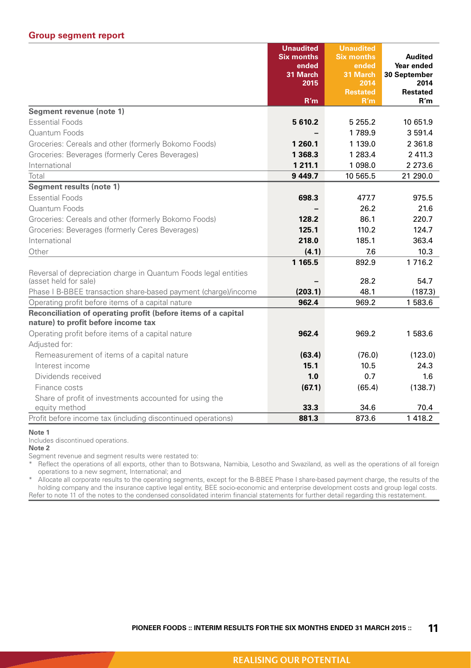|                                                                                          | <b>Unaudited</b>  | <b>Unaudited</b>        |                  |
|------------------------------------------------------------------------------------------|-------------------|-------------------------|------------------|
|                                                                                          | <b>Six months</b> | <b>Six months</b>       | <b>Audited</b>   |
|                                                                                          | ended             | ended                   | Year ended       |
|                                                                                          | 31 March          | 31 March                | 30 September     |
|                                                                                          | 2015              | 2014<br><b>Restated</b> | 2014<br>Restated |
|                                                                                          | R'm               | R'm                     | R'm              |
| Segment revenue (note 1)                                                                 |                   |                         |                  |
| <b>Essential Foods</b>                                                                   | 5 6 10.2          | 5 2 5 5 . 2             | 10 651.9         |
| Quantum Foods                                                                            |                   | 1789.9                  | 3 5 9 1.4        |
| Groceries: Cereals and other (formerly Bokomo Foods)                                     | 1 260.1           | 1 139.0                 | 2 3 6 1.8        |
| Groceries: Beverages (formerly Ceres Beverages)                                          | 1 368.3           | 1 283.4                 | 2 411.3          |
| International                                                                            | 1 2 1 1.1         | 1 098.0                 | 2 273.6          |
| Total                                                                                    | 9449.7            | 10 565.5                | 21 290.0         |
| Segment results (note 1)                                                                 |                   |                         |                  |
| <b>Essential Foods</b>                                                                   | 698.3             | 477.7                   | 975.5            |
| Quantum Foods                                                                            |                   | 26.2                    | 21.6             |
| Groceries: Cereals and other (formerly Bokomo Foods)                                     | 128.2             | 86.1                    | 220.7            |
| Groceries: Beverages (formerly Ceres Beverages)                                          | 125.1             | 110.2                   | 124.7            |
| International                                                                            | 218.0             | 185.1                   | 363.4            |
| Other                                                                                    | (4.1)             | 7.6                     | 10.3             |
|                                                                                          | 1 165.5           | 892.9                   | 1 7 1 6.2        |
| Reversal of depreciation charge in Quantum Foods legal entities<br>(asset held for sale) |                   | 28.2                    | 54.7             |
| Phase I B-BBEE transaction share-based payment (charge)/income                           | (203.1)           | 48.1                    | (187.3)          |
| Operating profit before items of a capital nature                                        | 962.4             | 969.2                   | 1 583.6          |
| Reconciliation of operating profit (before items of a capital                            |                   |                         |                  |
| nature) to profit before income tax                                                      |                   |                         |                  |
| Operating profit before items of a capital nature                                        | 962.4             | 969.2                   | 1 583.6          |
| Adjusted for:                                                                            |                   |                         |                  |
| Remeasurement of items of a capital nature                                               | (63.4)            | (76.0)                  | (123.0)          |
| Interest income                                                                          | 15.1              | 10.5                    | 24.3             |
| Dividends received                                                                       | 1.0               | 0.7                     | 1.6              |
| Finance costs                                                                            | (67.1)            | (65.4)                  | (138.7)          |
| Share of profit of investments accounted for using the                                   |                   |                         |                  |
| equity method                                                                            | 33.3              | 34.6                    | 70.4             |
| Profit before income tax (including discontinued operations)                             | 881.3             | 873.6                   | 1 4 1 8.2        |

#### **Note 1**

Includes discontinued operations.

#### **Note 2**

Segment revenue and segment results were restated to:

\* Reflect the operations of all exports, other than to Botswana, Namibia, Lesotho and Swaziland, as well as the operations of all foreign operations to a new segment, International; and

\* Allocate all corporate results to the operating segments, except for the B-BBEE Phase I share-based payment charge, the results of the holding company and the insurance captive legal entity, BEE socio-economic and enterprise development costs and group legal costs. Refer to note 11 of the notes to the condensed consolidated interim financial statements for further detail regarding this restatement.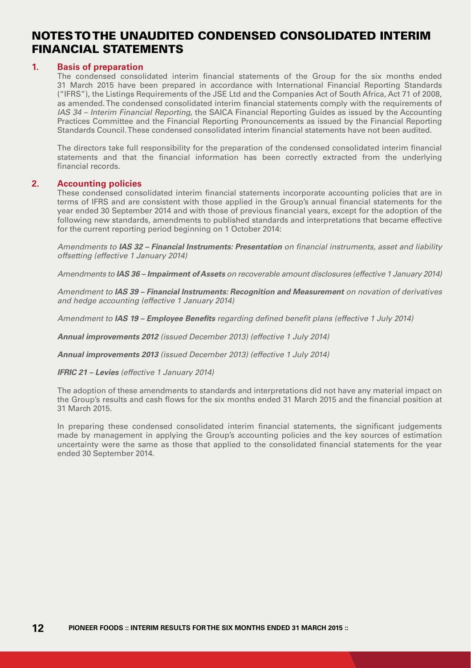## directors in the continuum continuum continuum continuum continuum continuum continuum continuum continuum con<br>District continuum continuum continuum continuum continuum continuum continuum continuum continuum continuum c NOTES TO THE UNAUDITED CONDENSED CONSOLIDATED INTERIM FINANCIAL STATEMENTS

#### **1. Basis of preparation**

The condensed consolidated interim financial statements of the Group for the six months ended 31 March 2015 have been prepared in accordance with International Financial Reporting Standards ("IFRS"), the Listings Requirements of the JSE Ltd and the Companies Act of South Africa, Act 71 of 2008, as amended. The condensed consolidated interim financial statements comply with the requirements of *IAS 34 – Interim Financial Reporting*, the SAICA Financial Reporting Guides as issued by the Accounting Practices Committee and the Financial Reporting Pronouncements as issued by the Financial Reporting Standards Council. These condensed consolidated interim financial statements have not been audited.

The directors take full responsibility for the preparation of the condensed consolidated interim financial statements and that the financial information has been correctly extracted from the underlying financial records.

#### **2. Accounting policies**

These condensed consolidated interim financial statements incorporate accounting policies that are in terms of IFRS and are consistent with those applied in the Group's annual financial statements for the year ended 30 September 2014 and with those of previous financial years, except for the adoption of the following new standards, amendments to published standards and interpretations that became effective for the current reporting period beginning on 1 October 2014:

*Amendments to IAS 32 – Financial Instruments: Presentation on financial instruments, asset and liability offsetting (effective 1 January 2014)*

*Amendments to IAS 36 – Impairment of Assets on recoverable amount disclosures (effective 1 January 2014)*

*Amendment to IAS 39 – Financial Instruments: Recognition and Measurement on novation of derivatives and hedge accounting (effective 1 January 2014)*

*Amendment to IAS 19 – Employee Benefits regarding defined benefit plans (effective 1 July 2014)*

*Annual improvements 2012 (issued December 2013) (effective 1 July 2014)*

*Annual improvements 2013 (issued December 2013) (effective 1 July 2014)*

*IFRIC 21 – Levies (effective 1 January 2014)* 

The adoption of these amendments to standards and interpretations did not have any material impact on the Group's results and cash flows for the six months ended 31 March 2015 and the financial position at 31 March 2015.

In preparing these condensed consolidated interim financial statements, the significant judgements made by management in applying the Group's accounting policies and the key sources of estimation uncertainty were the same as those that applied to the consolidated financial statements for the year ended 30 September 2014.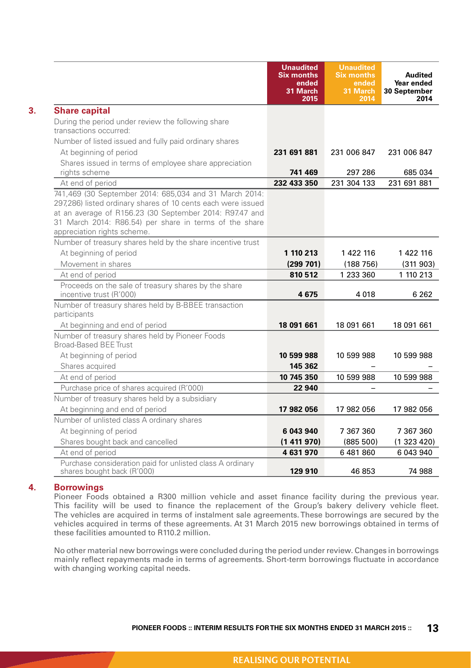|                                                                                                                                                                                                                                                                            | <b>Unaudited</b><br><b>Six months</b><br>ended<br>31 March<br>2015 | <b>Unaudited</b><br><b>Six months</b><br>ended<br>31 March<br>2014 | Audited<br>Year ended<br>30 September<br>2014 |
|----------------------------------------------------------------------------------------------------------------------------------------------------------------------------------------------------------------------------------------------------------------------------|--------------------------------------------------------------------|--------------------------------------------------------------------|-----------------------------------------------|
| <b>Share capital</b>                                                                                                                                                                                                                                                       |                                                                    |                                                                    |                                               |
| During the period under review the following share<br>transactions occurred:                                                                                                                                                                                               |                                                                    |                                                                    |                                               |
| Number of listed issued and fully paid ordinary shares                                                                                                                                                                                                                     |                                                                    |                                                                    |                                               |
| At beginning of period                                                                                                                                                                                                                                                     | 231 691 881                                                        | 231 006 847                                                        | 231 006 847                                   |
| Shares issued in terms of employee share appreciation                                                                                                                                                                                                                      |                                                                    |                                                                    |                                               |
| rights scheme                                                                                                                                                                                                                                                              | 741 469                                                            | 297 286                                                            | 685 034                                       |
| At end of period                                                                                                                                                                                                                                                           | 232 433 350                                                        | 231 304 133                                                        | 231 691 881                                   |
| 741,469 (30 September 2014: 685,034 and 31 March 2014:<br>297,286) listed ordinary shares of 10 cents each were issued<br>at an average of R156.23 (30 September 2014: R97.47 and<br>31 March 2014: R86.54) per share in terms of the share<br>appreciation rights scheme. |                                                                    |                                                                    |                                               |
| Number of treasury shares held by the share incentive trust                                                                                                                                                                                                                |                                                                    |                                                                    |                                               |
| At beginning of period                                                                                                                                                                                                                                                     | 1 110 213                                                          | 1 422 116                                                          | 1 422 116                                     |
| Movement in shares                                                                                                                                                                                                                                                         | (299 701)                                                          | (188756)                                                           | (311903)                                      |
| At end of period                                                                                                                                                                                                                                                           | 810 512                                                            | 1 233 360                                                          | 1 110 213                                     |
| Proceeds on the sale of treasury shares by the share<br>incentive trust (R'000)                                                                                                                                                                                            | 4675                                                               | 4 0 18                                                             | 6 2 6 2                                       |
| Number of treasury shares held by B-BBEE transaction<br>participants                                                                                                                                                                                                       |                                                                    |                                                                    |                                               |
| At beginning and end of period                                                                                                                                                                                                                                             | 18 091 661                                                         | 18 091 661                                                         | 18 091 661                                    |
| Number of treasury shares held by Pioneer Foods<br><b>Broad-Based BEE Trust</b>                                                                                                                                                                                            |                                                                    |                                                                    |                                               |
| At beginning of period                                                                                                                                                                                                                                                     | 10 599 988                                                         | 10 599 988                                                         | 10 599 988                                    |
| Shares acquired                                                                                                                                                                                                                                                            | 145 362                                                            |                                                                    |                                               |
| At end of period                                                                                                                                                                                                                                                           | 10 745 350                                                         | 10 599 988                                                         | 10 599 988                                    |
| Purchase price of shares acquired (R'000)                                                                                                                                                                                                                                  | 22 940                                                             |                                                                    |                                               |
| Number of treasury shares held by a subsidiary                                                                                                                                                                                                                             |                                                                    |                                                                    |                                               |
| At beginning and end of period                                                                                                                                                                                                                                             | 17 982 056                                                         | 17 982 056                                                         | 17 982 056                                    |
| Number of unlisted class A ordinary shares                                                                                                                                                                                                                                 |                                                                    |                                                                    |                                               |
| At beginning of period                                                                                                                                                                                                                                                     | 6 043 940                                                          | 7 367 360                                                          | 7 367 360                                     |
| Shares bought back and cancelled                                                                                                                                                                                                                                           | (1411970)                                                          | (885 500)                                                          | (1323420)                                     |
| At end of period                                                                                                                                                                                                                                                           | 4 631 970                                                          | 6481860                                                            | 6 043 940                                     |
| Purchase consideration paid for unlisted class A ordinary<br>shares bought back (R'000)                                                                                                                                                                                    | 129 910                                                            | 46853                                                              | 74 988                                        |

#### **4. Borrowings**

Pioneer Foods obtained a R300 million vehicle and asset finance facility during the previous year. This facility will be used to finance the replacement of the Group's bakery delivery vehicle fleet. The vehicles are acquired in terms of instalment sale agreements. These borrowings are secured by the vehicles acquired in terms of these agreements. At 31 March 2015 new borrowings obtained in terms of these facilities amounted to R110.2 million.

No other material new borrowings were concluded during the period under review. Changes in borrowings mainly reflect repayments made in terms of agreements. Short-term borrowings fluctuate in accordance with changing working capital needs.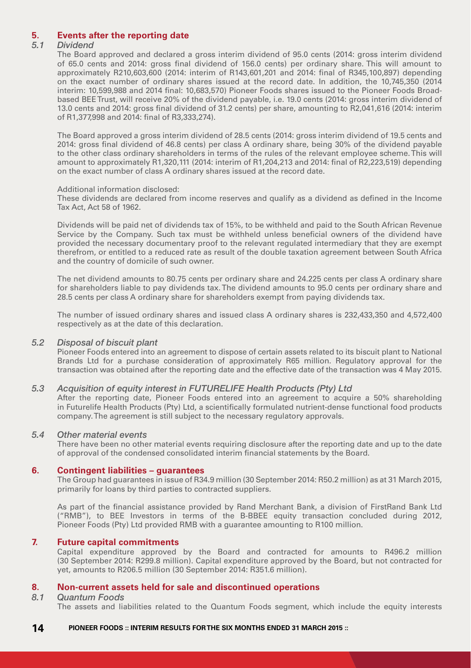# **5. Events after the reporting date**

#### *5.1 Dividend*

The Board approved and declared a gross interim dividend of 95.0 cents (2014: gross interim dividend<br>of 65.0 cents and 2014: gross final dividend of 156.0 cents) per ordinary share. This will amount to The Board approved and declared a gross interim dividend of 95.0 cents (2014: gross interim dividend approximately R210,603,600 (2014: interim of R143,601,201 and 2014: final of R345,100,897) depending on the exact number of ordinary shares issued at the record date. In addition, the 10,745,350 (2014 interim: 10,599,988 and 2014 final: 10,683,570) Pioneer Foods shares issued to the Pioneer Foods Broadbased BEE Trust, will receive 20% of the dividend payable, i.e. 19.0 cents (2014: gross interim dividend of 13.0 cents and 2014: gross final dividend of 31.2 cents) per share, amounting to R2,041,616 (2014: interim of R1,377,998 and 2014: final of R3,333,274).

The Board approved a gross interim dividend of 28.5 cents (2014: gross interim dividend of 19.5 cents and 2014: gross final dividend of 46.8 cents) per class A ordinary share, being 30% of the dividend payable to the other class ordinary shareholders in terms of the rules of the relevant employee scheme. This will amount to approximately R1,320,111 (2014: interim of R1,204,213 and 2014: final of R2,223,519) depending on the exact number of class A ordinary shares issued at the record date.

#### Additional information disclosed:

These dividends are declared from income reserves and qualify as a dividend as defined in the Income Tax Act, Act 58 of 1962.

Dividends will be paid net of dividends tax of 15%, to be withheld and paid to the South African Revenue Service by the Company. Such tax must be withheld unless beneficial owners of the dividend have provided the necessary documentary proof to the relevant regulated intermediary that they are exempt therefrom, or entitled to a reduced rate as result of the double taxation agreement between South Africa and the country of domicile of such owner.

The net dividend amounts to 80.75 cents per ordinary share and 24.225 cents per class A ordinary share for shareholders liable to pay dividends tax. The dividend amounts to 95.0 cents per ordinary share and 28.5 cents per class A ordinary share for shareholders exempt from paying dividends tax.

The number of issued ordinary shares and issued class A ordinary shares is 232,433,350 and 4,572,400 respectively as at the date of this declaration.

#### *5.2 Disposal of biscuit plant*

Pioneer Foods entered into an agreement to dispose of certain assets related to its biscuit plant to National Brands Ltd for a purchase consideration of approximately R65 million. Regulatory approval for the transaction was obtained after the reporting date and the effective date of the transaction was 4 May 2015.

#### *5.3 Acquisition of equity interest in FUTURELIFE Health Products (Pty) Ltd*

After the reporting date, Pioneer Foods entered into an agreement to acquire a 50% shareholding in Futurelife Health Products (Pty) Ltd, a scientifically formulated nutrient-dense functional food products company. The agreement is still subject to the necessary regulatory approvals.

#### *5.4 Other material events*

There have been no other material events requiring disclosure after the reporting date and up to the date of approval of the condensed consolidated interim financial statements by the Board.

#### **6. Contingent liabilities – guarantees**

The Group had guarantees in issue of R34.9 million (30 September 2014: R50.2 million) as at 31 March 2015, primarily for loans by third parties to contracted suppliers.

As part of the financial assistance provided by Rand Merchant Bank, a division of FirstRand Bank Ltd ("RMB"), to BEE Investors in terms of the B-BBEE equity transaction concluded during 2012, Pioneer Foods (Pty) Ltd provided RMB with a guarantee amounting to R100 million.

#### **7. Future capital commitments**

Capital expenditure approved by the Board and contracted for amounts to R496.2 million (30 September 2014: R299.8 million). Capital expenditure approved by the Board, but not contracted for yet, amounts to R206.5 million (30 September 2014: R351.6 million).

## **8. Non-current assets held for sale and discontinued operations**<br>8.1 Quantum Foods

#### *8.1 Quantum Foods*

The assets and liabilities related to the Quantum Foods segment, which include the equity interests

#### **14 PIONEER FOODS :: INTERIM RESULTS FOR THE SIX MONTHS ENDED 31 MARCH 2015 ::**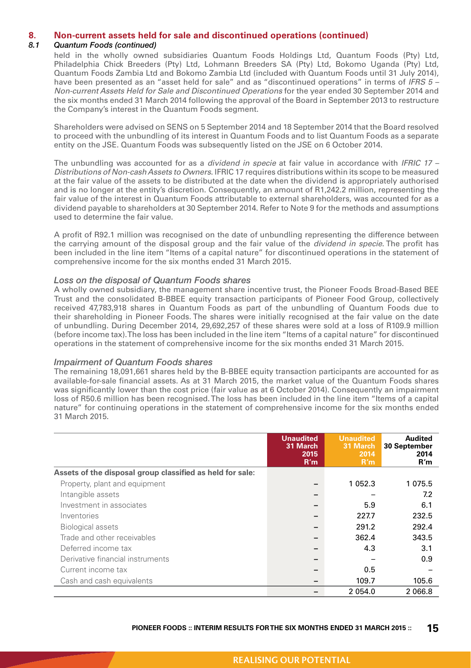## **8. Non-current assets held for sale and discontinued operations (continued)**

#### *8.1 Quantum Foods (continued)*

held in the wholly owned subsidiaries Quantum Foods Holdings Ltd, Quantum Foods (Pty) Ltd, Philadelphia Chick Breeders (Pty) Ltd, Lohmann Breeders SA (Pty) Ltd, Bokomo Uganda (Pty) Ltd, Quantum Foods Zambia Ltd and Bokomo Zambia Ltd (included with Quantum Foods until 31 July 2014), have been presented as an "asset held for sale" and as "discontinued operations" in terms of *IFRS 5 – Non-current Assets Held for Sale and Discontinued Operations* for the year ended 30 September 2014 and the six months ended 31 March 2014 following the approval of the Board in September 2013 to restructure the Company's interest in the Quantum Foods segment.

Shareholders were advised on SENS on 5 September 2014 and 18 September 2014 that the Board resolved to proceed with the unbundling of its interest in Quantum Foods and to list Quantum Foods as a separate entity on the JSE. Quantum Foods was subsequently listed on the JSE on 6 October 2014.

The unbundling was accounted for as a *dividend in specie* at fair value in accordance with *IFRIC 17 – Distributions of Non-cash Assets to Owners*. IFRIC 17 requires distributions within its scope to be measured at the fair value of the assets to be distributed at the date when the dividend is appropriately authorised and is no longer at the entity's discretion. Consequently, an amount of R1,242.2 million, representing the fair value of the interest in Quantum Foods attributable to external shareholders, was accounted for as a dividend payable to shareholders at 30 September 2014. Refer to Note 9 for the methods and assumptions used to determine the fair value.

A profit of R92.1 million was recognised on the date of unbundling representing the difference between the carrying amount of the disposal group and the fair value of the *dividend in specie*. The profit has been included in the line item "Items of a capital nature" for discontinued operations in the statement of comprehensive income for the six months ended 31 March 2015.

#### *Loss on the disposal of Quantum Foods shares*

A wholly owned subsidiary, the management share incentive trust, the Pioneer Foods Broad-Based BEE Trust and the consolidated B-BBEE equity transaction participants of Pioneer Food Group, collectively received 47,783,918 shares in Quantum Foods as part of the unbundling of Quantum Foods due to their shareholding in Pioneer Foods. The shares were initially recognised at the fair value on the date of unbundling. During December 2014, 29,692,257 of these shares were sold at a loss of R109.9 million (before income tax). The loss has been included in the line item "Items of a capital nature" for discontinued operations in the statement of comprehensive income for the six months ended 31 March 2015.

#### *Impairment of Quantum Foods shares*

The remaining 18,091,661 shares held by the B-BBEE equity transaction participants are accounted for as available-for-sale financial assets. As at 31 March 2015, the market value of the Quantum Foods shares was significantly lower than the cost price (fair value as at 6 October 2014). Consequently an impairment loss of R50.6 million has been recognised. The loss has been included in the line item "Items of a capital nature" for continuing operations in the statement of comprehensive income for the six months ended 31 March 2015.

|                                                           | <b>Unaudited</b><br>31 March<br>2015<br>R'm | <b>Unaudited</b><br>31 March<br>2014<br>R'm | Audited<br>30 September<br>2014<br>R'm |
|-----------------------------------------------------------|---------------------------------------------|---------------------------------------------|----------------------------------------|
| Assets of the disposal group classified as held for sale: |                                             |                                             |                                        |
| Property, plant and equipment                             |                                             | 1 0 5 2 . 3                                 | 1 075.5                                |
| Intangible assets                                         |                                             |                                             | 7.2                                    |
| Investment in associates                                  |                                             | 5.9                                         | 6.1                                    |
| Inventories                                               |                                             | 227.7                                       | 232.5                                  |
| <b>Biological assets</b>                                  |                                             | 291.2                                       | 292.4                                  |
| Trade and other receivables                               |                                             | 362.4                                       | 343.5                                  |
| Deferred income tax                                       |                                             | 4.3                                         | 3.1                                    |
| Derivative financial instruments                          |                                             |                                             | 0.9                                    |
| Current income tax                                        |                                             | 0.5                                         |                                        |
| Cash and cash equivalents                                 |                                             | 109.7                                       | 105.6                                  |
|                                                           |                                             | 2 0 5 4 . 0                                 | 2066.8                                 |

**PIONEER FOODS :: INTERIM RESULTS FOR THE SIX MONTHS ENDED 31 MARCH 2015 :: 15**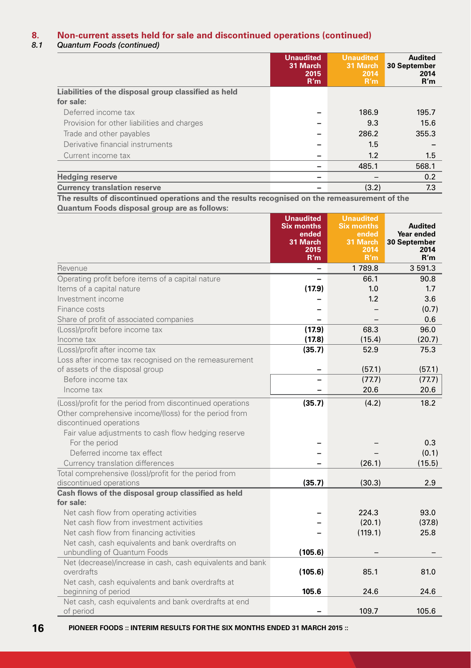# **8. Non-current assets held for sale and discontinued operations (continued)**

### *8.1 Quantum Foods (continued)*

|                                                      | <b>Unaudited</b><br>31 March<br>2015<br>R'm | <b>Unaudited</b><br>31 March<br>2014<br>R'm | <b>Audited</b><br>30 September<br>2014<br>R'm |
|------------------------------------------------------|---------------------------------------------|---------------------------------------------|-----------------------------------------------|
| Liabilities of the disposal group classified as held |                                             |                                             |                                               |
| for sale:                                            |                                             |                                             |                                               |
| Deferred income tax                                  |                                             | 186.9                                       | 195.7                                         |
| Provision for other liabilities and charges          |                                             | 9.3                                         | 15.6                                          |
| Trade and other payables                             |                                             | 286.2                                       | 355.3                                         |
| Derivative financial instruments                     |                                             | 1.5                                         |                                               |
| Current income tax                                   |                                             | 1.2                                         | 1.5                                           |
|                                                      |                                             | 485.1                                       | 568.1                                         |
| <b>Hedging reserve</b>                               |                                             |                                             | 0.2                                           |
| <b>Currency translation reserve</b>                  |                                             | (3.2)                                       | 7.3                                           |

**The results of discontinued operations and the results recognised on the remeasurement of the Quantum Foods disposal group are as follows:**

|                                                            | <b>Unaudited</b>           | <b>Unaudited</b>           |                              |
|------------------------------------------------------------|----------------------------|----------------------------|------------------------------|
|                                                            | <b>Six months</b><br>ended | <b>Six months</b><br>ended | <b>Audited</b><br>Year ended |
|                                                            | 31 March                   | 31 March                   | 30 September                 |
|                                                            | 2015                       | 2014                       | 2014                         |
|                                                            | R'm                        | R'm                        | R'm                          |
| Revenue                                                    |                            | 1789.8                     | 3 5 9 1.3                    |
| Operating profit before items of a capital nature          |                            | 66.1                       | 90.8                         |
| Items of a capital nature                                  | (17.9)                     | 1.0                        | 1.7                          |
| Investment income                                          |                            | 1.2                        | 3.6                          |
| Finance costs                                              |                            |                            | (0.7)                        |
| Share of profit of associated companies                    |                            |                            | 0.6                          |
| (Loss)/profit before income tax                            | (17.9)                     | 68.3                       | 96.0                         |
| Income tax                                                 | (17.8)                     | (15.4)                     | (20.7)                       |
| (Loss)/profit after income tax                             | (35.7)                     | 52.9                       | 75.3                         |
| Loss after income tax recognised on the remeasurement      |                            |                            |                              |
| of assets of the disposal group                            |                            | (57.1)                     | (57.1)                       |
| Before income tax                                          |                            | (77.7)                     | (77.7)                       |
| Income tax                                                 |                            | 20.6                       | 20.6                         |
| (Loss)/profit for the period from discontinued operations  | (35.7)                     | (4.2)                      | 18.2                         |
| Other comprehensive income/(loss) for the period from      |                            |                            |                              |
| discontinued operations                                    |                            |                            |                              |
| Fair value adjustments to cash flow hedging reserve        |                            |                            |                              |
| For the period                                             |                            |                            | 0.3                          |
| Deferred income tax effect                                 |                            |                            | (0.1)                        |
| Currency translation differences                           |                            | (26.1)                     | (15.5)                       |
| Total comprehensive (loss)/profit for the period from      |                            |                            |                              |
| discontinued operations                                    | (35.7)                     | (30.3)                     | 2.9                          |
| Cash flows of the disposal group classified as held        |                            |                            |                              |
| for sale:                                                  |                            |                            |                              |
| Net cash flow from operating activities                    |                            | 224.3                      | 93.0                         |
| Net cash flow from investment activities                   |                            | (20.1)                     | (37.8)                       |
| Net cash flow from financing activities                    |                            | (119.1)                    | 25.8                         |
| Net cash, cash equivalents and bank overdrafts on          |                            |                            |                              |
| unbundling of Quantum Foods                                | (105.6)                    |                            |                              |
| Net (decrease)/increase in cash, cash equivalents and bank |                            |                            |                              |
| overdrafts                                                 | (105.6)                    | 85.1                       | 81.0                         |
| Net cash, cash equivalents and bank overdrafts at          |                            |                            |                              |
| beginning of period                                        | 105.6                      | 24.6                       | 24.6                         |
| Net cash, cash equivalents and bank overdrafts at end      |                            |                            |                              |
| of period                                                  |                            | 109.7                      | 105.6                        |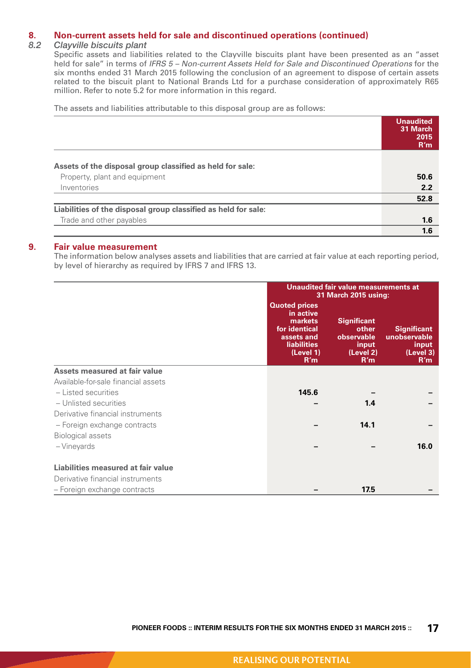# **8. Non-current assets held for sale and discontinued operations (continued)**

#### *8.2 Clayville biscuits plant*

Specific assets and liabilities related to the Clayville biscuits plant have been presented as an "asset held for sale" in terms of *IFRS 5 – Non-current Assets Held for Sale and Discontinued Operations* for the six months ended 31 March 2015 following the conclusion of an agreement to dispose of certain assets related to the biscuit plant to National Brands Ltd for a purchase consideration of approximately R65 million. Refer to note 5.2 for more information in this regard.

The assets and liabilities attributable to this disposal group are as follows:

|                                                                | <b>Unaudited</b><br>31 March<br>2015<br>R'm |
|----------------------------------------------------------------|---------------------------------------------|
| Assets of the disposal group classified as held for sale:      |                                             |
|                                                                |                                             |
| Property, plant and equipment                                  | 50.6                                        |
| Inventories                                                    | 2.2                                         |
|                                                                | 52.8                                        |
| Liabilities of the disposal group classified as held for sale: |                                             |
| Trade and other payables                                       | 1.6                                         |
|                                                                | 1.6                                         |

#### **9. Fair value measurement**

The information below analyses assets and liabilities that are carried at fair value at each reporting period, by level of hierarchy as required by IFRS 7 and IFRS 13.

|                                     |                                                                                                                       | Unaudited fair value measurements at<br>31 March 2015 using:           |                                                                 |  |
|-------------------------------------|-----------------------------------------------------------------------------------------------------------------------|------------------------------------------------------------------------|-----------------------------------------------------------------|--|
|                                     | <b>Quoted prices</b><br>in active<br>markets<br>for identical<br>assets and<br><b>liabilities</b><br>(Level 1)<br>R'm | <b>Significant</b><br>other<br>observable<br>input<br>(Level 2)<br>R'm | <b>Significant</b><br>unobservable<br>input<br>(Level 3)<br>R'm |  |
| Assets measured at fair value       |                                                                                                                       |                                                                        |                                                                 |  |
| Available-for-sale financial assets |                                                                                                                       |                                                                        |                                                                 |  |
| - Listed securities                 | 145.6                                                                                                                 |                                                                        |                                                                 |  |
| - Unlisted securities               |                                                                                                                       | 1.4                                                                    |                                                                 |  |
| Derivative financial instruments    |                                                                                                                       |                                                                        |                                                                 |  |
| - Foreign exchange contracts        |                                                                                                                       | 14.1                                                                   |                                                                 |  |
| <b>Biological assets</b>            |                                                                                                                       |                                                                        |                                                                 |  |
| - Vineyards                         |                                                                                                                       |                                                                        | 16.0                                                            |  |
| Liabilities measured at fair value  |                                                                                                                       |                                                                        |                                                                 |  |
| Derivative financial instruments    |                                                                                                                       |                                                                        |                                                                 |  |
| - Foreign exchange contracts        |                                                                                                                       | 17.5                                                                   |                                                                 |  |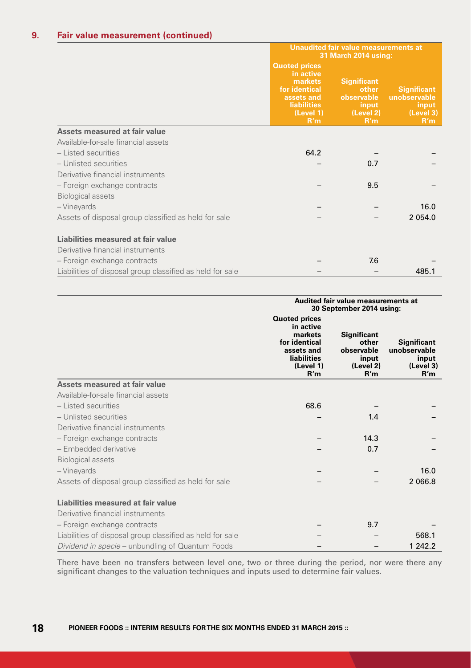### **9. Fair value measurement (continued)**

|                                                           | Unaudited fair value measurements at<br>31 March 2014 using:                                                          |                                                                        |                                                                 |
|-----------------------------------------------------------|-----------------------------------------------------------------------------------------------------------------------|------------------------------------------------------------------------|-----------------------------------------------------------------|
|                                                           | <b>Quoted prices</b><br>in active<br>markets<br>for identical<br>assets and<br><b>liabilities</b><br>(Level 1)<br>R'm | <b>Significant</b><br>other<br>observable<br>input<br>(Level 2)<br>R'm | <b>Significant</b><br>unobservable<br>input<br>(Level 3)<br>R'm |
| Assets measured at fair value                             |                                                                                                                       |                                                                        |                                                                 |
| Available-for-sale financial assets                       |                                                                                                                       |                                                                        |                                                                 |
| $-$ Listed securities                                     | 64.2                                                                                                                  |                                                                        |                                                                 |
| - Unlisted securities                                     |                                                                                                                       | 0.7                                                                    |                                                                 |
| Derivative financial instruments                          |                                                                                                                       |                                                                        |                                                                 |
| - Foreign exchange contracts                              |                                                                                                                       | 9.5                                                                    |                                                                 |
| <b>Biological assets</b>                                  |                                                                                                                       |                                                                        |                                                                 |
| - Vineyards                                               |                                                                                                                       |                                                                        | 16.0                                                            |
| Assets of disposal group classified as held for sale      |                                                                                                                       |                                                                        | 2 0 5 4 .0                                                      |
| Liabilities measured at fair value                        |                                                                                                                       |                                                                        |                                                                 |
| Derivative financial instruments                          |                                                                                                                       |                                                                        |                                                                 |
| - Foreign exchange contracts                              |                                                                                                                       | 7.6                                                                    |                                                                 |
| Liabilities of disposal group classified as held for sale |                                                                                                                       |                                                                        | 485.1                                                           |

|                                                           | Audited fair value measurements at<br>30 September 2014 using:                                                 |                                                                        |                                                                 |
|-----------------------------------------------------------|----------------------------------------------------------------------------------------------------------------|------------------------------------------------------------------------|-----------------------------------------------------------------|
|                                                           | <b>Quoted prices</b><br>in active<br>markets<br>for identical<br>assets and<br>liabilities<br>(Level 1)<br>R'm | <b>Significant</b><br>other<br>observable<br>input<br>(Level 2)<br>R'm | <b>Significant</b><br>unobservable<br>input<br>(Level 3)<br>R'm |
| Assets measured at fair value                             |                                                                                                                |                                                                        |                                                                 |
| Available-for-sale financial assets                       |                                                                                                                |                                                                        |                                                                 |
| - Listed securities                                       | 68.6                                                                                                           |                                                                        |                                                                 |
| - Unlisted securities                                     |                                                                                                                | 1.4                                                                    |                                                                 |
| Derivative financial instruments                          |                                                                                                                |                                                                        |                                                                 |
| - Foreign exchange contracts                              |                                                                                                                | 14.3                                                                   |                                                                 |
| - Embedded derivative                                     |                                                                                                                | 0.7                                                                    |                                                                 |
| <b>Biological assets</b>                                  |                                                                                                                |                                                                        |                                                                 |
| - Vineyards                                               |                                                                                                                |                                                                        | 16.0                                                            |
| Assets of disposal group classified as held for sale      |                                                                                                                |                                                                        | 2 066.8                                                         |
| Liabilities measured at fair value                        |                                                                                                                |                                                                        |                                                                 |
| Derivative financial instruments                          |                                                                                                                |                                                                        |                                                                 |
| - Foreign exchange contracts                              |                                                                                                                | 9.7                                                                    |                                                                 |
| Liabilities of disposal group classified as held for sale |                                                                                                                |                                                                        | 568.1                                                           |
| Dividend in specie - unbundling of Quantum Foods          |                                                                                                                |                                                                        | 1 242.2                                                         |

There have been no transfers between level one, two or three during the period, nor were there any significant changes to the valuation techniques and inputs used to determine fair values.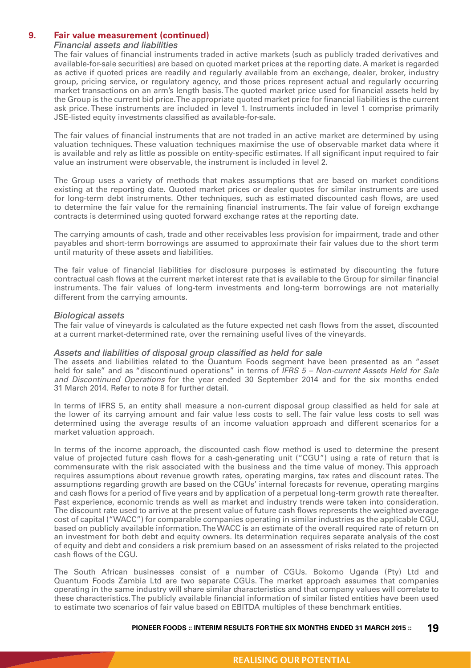#### **9. Fair value measurement (continued)**

#### *Financial assets and liabilities*

The fair values of financial instruments traded in active markets (such as publicly traded derivatives and available-for-sale securities) are based on quoted market prices at the reporting date. A market is regarded as active if quoted prices are readily and regularly available from an exchange, dealer, broker, industry group, pricing service, or regulatory agency, and those prices represent actual and regularly occurring market transactions on an arm's length basis. The quoted market price used for financial assets held by the Group is the current bid price. The appropriate quoted market price for financial liabilities is the current ask price. These instruments are included in level 1. Instruments included in level 1 comprise primarily JSE-listed equity investments classified as available-for-sale.

The fair values of financial instruments that are not traded in an active market are determined by using valuation techniques. These valuation techniques maximise the use of observable market data where it is available and rely as little as possible on entity-specific estimates. If all significant input required to fair value an instrument were observable, the instrument is included in level 2.

The Group uses a variety of methods that makes assumptions that are based on market conditions existing at the reporting date. Quoted market prices or dealer quotes for similar instruments are used for long-term debt instruments. Other techniques, such as estimated discounted cash flows, are used to determine the fair value for the remaining financial instruments. The fair value of foreign exchange contracts is determined using quoted forward exchange rates at the reporting date.

The carrying amounts of cash, trade and other receivables less provision for impairment, trade and other payables and short-term borrowings are assumed to approximate their fair values due to the short term until maturity of these assets and liabilities.

The fair value of financial liabilities for disclosure purposes is estimated by discounting the future contractual cash flows at the current market interest rate that is available to the Group for similar financial instruments. The fair values of long-term investments and long-term borrowings are not materially different from the carrying amounts.

#### *Biological assets*

The fair value of vineyards is calculated as the future expected net cash flows from the asset, discounted at a current market-determined rate, over the remaining useful lives of the vineyards.

#### *Assets and liabilities of disposal group classified as held for sale*

The assets and liabilities related to the Quantum Foods segment have been presented as an "asset held for sale" and as "discontinued operations" in terms of *IFRS 5 – Non-current Assets Held for Sale and Discontinued Operations* for the year ended 30 September 2014 and for the six months ended 31 March 2014. Refer to note 8 for further detail.

In terms of IFRS 5, an entity shall measure a non-current disposal group classified as held for sale at the lower of its carrying amount and fair value less costs to sell. The fair value less costs to sell was determined using the average results of an income valuation approach and different scenarios for a market valuation approach.

In terms of the income approach, the discounted cash flow method is used to determine the present value of projected future cash flows for a cash-generating unit ("CGU") using a rate of return that is commensurate with the risk associated with the business and the time value of money. This approach requires assumptions about revenue growth rates, operating margins, tax rates and discount rates. The assumptions regarding growth are based on the CGUs' internal forecasts for revenue, operating margins and cash flows for a period of five years and by application of a perpetual long-term growth rate thereafter. Past experience, economic trends as well as market and industry trends were taken into consideration. The discount rate used to arrive at the present value of future cash flows represents the weighted average cost of capital ("WACC") for comparable companies operating in similar industries as the applicable CGU, based on publicly available information. The WACC is an estimate of the overall required rate of return on an investment for both debt and equity owners. Its determination requires separate analysis of the cost of equity and debt and considers a risk premium based on an assessment of risks related to the projected cash flows of the CGU.

The South African businesses consist of a number of CGUs. Bokomo Uganda (Pty) Ltd and Quantum Foods Zambia Ltd are two separate CGUs. The market approach assumes that companies operating in the same industry will share similar characteristics and that company values will correlate to these characteristics. The publicly available financial information of similar listed entities have been used to estimate two scenarios of fair value based on EBITDA multiples of these benchmark entities.

#### **PIONEER FOODS :: INTERIM RESULTS FOR THE SIX MONTHS ENDED 31 MARCH 2015 :: 19**

### **REALISING OUR POTENTIAL**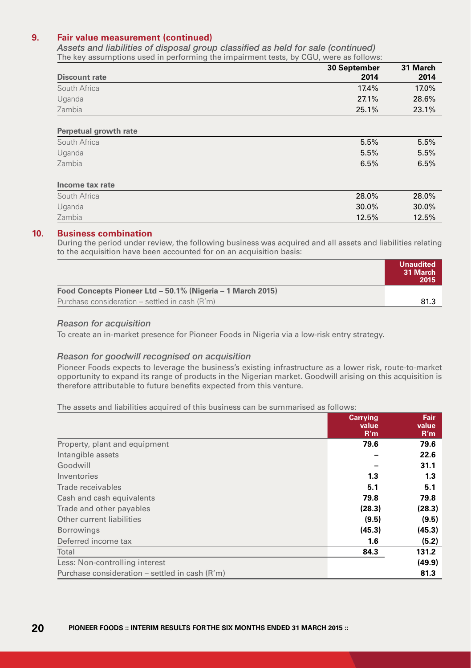#### **9. Fair value measurement (continued)**

The key assumptions used in performing the impairment tests, by CGU, were as follows: *Assets and liabilities of disposal group classified as held for sale (continued)*

|                      | 30 September | 31 March |
|----------------------|--------------|----------|
| <b>Discount rate</b> | 2014         | 2014     |
| South Africa         | 17.4%        | 17.0%    |
| Uganda               | 27.1%        | 28.6%    |
| Zambia               | 25.1%        | 23.1%    |

#### **Perpetual growth rate**

| South Africa | 5.5% | 5.5% |
|--------------|------|------|
| Uganda       | 5.5% | 5.5% |
| Zambia       | 6.5% | 6.5% |
|              |      |      |

| Income tax rate |          |          |
|-----------------|----------|----------|
| South Africa    | 28.0%    | 28.0%    |
| Uganda          | $30.0\%$ | $30.0\%$ |
| Zambia          | 12.5%    | 12.5%    |

#### **10. Business combination**

During the period under review, the following business was acquired and all assets and liabilities relating to the acquisition have been accounted for on an acquisition basis:

|                                                            | <b>Unaudited</b><br>31 March<br>2015 |
|------------------------------------------------------------|--------------------------------------|
| Food Concepts Pioneer Ltd - 50.1% (Nigeria - 1 March 2015) |                                      |
| Purchase consideration – settled in cash (R'm)             | 81.3                                 |

#### *Reason for acquisition*

To create an in-market presence for Pioneer Foods in Nigeria via a low-risk entry strategy.

#### *Reason for goodwill recognised on acquisition*

Pioneer Foods expects to leverage the business's existing infrastructure as a lower risk, route-to-market opportunity to expand its range of products in the Nigerian market. Goodwill arising on this acquisition is therefore attributable to future benefits expected from this venture.

The assets and liabilities acquired of this business can be summarised as follows:

|                                                | <b>Carrying</b><br>value<br>R'm | Fair<br>value<br>R'm |
|------------------------------------------------|---------------------------------|----------------------|
| Property, plant and equipment                  | 79.6                            | 79.6                 |
| Intangible assets                              |                                 | 22.6                 |
| Goodwill                                       |                                 | 31.1                 |
| Inventories                                    | 1.3                             | 1.3                  |
| Trade receivables                              | 5.1                             | 5.1                  |
| Cash and cash equivalents                      | 79.8                            | 79.8                 |
| Trade and other payables                       | (28.3)                          | (28.3)               |
| Other current liabilities                      | (9.5)                           | (9.5)                |
| <b>Borrowings</b>                              | (45.3)                          | (45.3)               |
| Deferred income tax                            | 1.6                             | (5.2)                |
| Total                                          | 84.3                            | 131.2                |
| Less: Non-controlling interest                 |                                 | (49.9)               |
| Purchase consideration – settled in cash (R'm) |                                 | 81.3                 |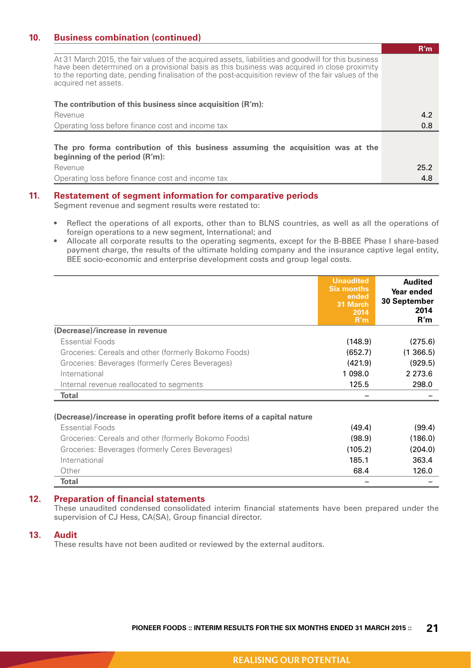#### **10. Business combination (continued)**

At 31 March 2015, the fair values of the acquired assets, liabilities and goodwill for this business have been determined on a provisional basis as this business was acquired in close proximity to the reporting date, pending finalisation of the post-acquisition review of the fair values of the acquired net assets.

| The contribution of this business since acquisition (R'm):                                                        |      |
|-------------------------------------------------------------------------------------------------------------------|------|
| Revenue                                                                                                           | 4.2  |
| Operating loss before finance cost and income tax                                                                 | 0.8  |
| The pro forma contribution of this business assuming the acquisition was at the<br>beginning of the period (R'm): |      |
| Revenue                                                                                                           | 25.2 |
| Operating loss before finance cost and income tax                                                                 | 4.8  |

**R'm**

#### **11. Restatement of segment information for comparative periods**

Segment revenue and segment results were restated to:

- Reflect the operations of all exports, other than to BLNS countries, as well as all the operations of foreign operations to a new segment, International; and
- Allocate all corporate results to the operating segments, except for the B-BBEE Phase I share-based payment charge, the results of the ultimate holding company and the insurance captive legal entity, BEE socio-economic and enterprise development costs and group legal costs.

|                                                      | <b>Unaudited</b><br><b>Six months</b><br>ended<br>31 March<br>2014<br>R'm | Audited<br>Year ended<br>30 September<br>2014<br>R'm |
|------------------------------------------------------|---------------------------------------------------------------------------|------------------------------------------------------|
| (Decrease)/increase in revenue                       |                                                                           |                                                      |
| <b>Essential Foods</b>                               | (148.9)                                                                   | (275.6)                                              |
| Groceries: Cereals and other (formerly Bokomo Foods) | (652.7)                                                                   | (1, 366.5)                                           |
| Groceries: Beverages (formerly Ceres Beverages)      | (421.9)                                                                   | (929.5)                                              |
| International                                        | 1 0 9 8 . 0                                                               | 2 2 7 3 . 6                                          |
| Internal revenue reallocated to segments             | 125.5                                                                     | 298.0                                                |
| <b>Total</b>                                         |                                                                           |                                                      |

#### **(Decrease)/increase in operating profit before items of a capital nature**

| Essential Foods                                      | (49.4)  | (99.4)  |
|------------------------------------------------------|---------|---------|
| Groceries: Cereals and other (formerly Bokomo Foods) | (98.9)  | (186.0) |
| Groceries: Beverages (formerly Ceres Beverages)      | (105.2) | (204.0) |
| International                                        | 185.1   | 363.4   |
| Other                                                | 68.4    | 126.0   |
| <b>Total</b>                                         |         |         |

#### **12. Preparation of financial statements**

These unaudited condensed consolidated interim financial statements have been prepared under the supervision of CJ Hess, CA(SA), Group financial director.

#### **13. Audit**

These results have not been audited or reviewed by the external auditors.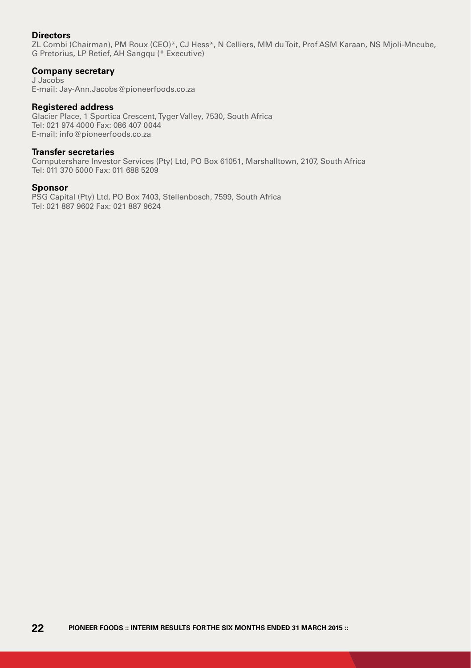### **Directors**

G Pretorius, LP Retief, AH Sangqu (\* Executive)<br>. ZL Combi (Chairman), PM Roux (CEO)\*, CJ Hess\*, N Celliers, MM du Toit, Prof ASM Karaan, NS Mjoli-Mncube,

#### **Company secretary**

J Jacobs E-mail: Jay-Ann.Jacobs@pioneerfoods.co.za

#### **Registered address**

Glacier Place, 1 Sportica Crescent, Tyger Valley, 7530, South Africa Tel: 021 974 4000 Fax: 086 407 0044 E-mail: info@pioneerfoods.co.za

#### **Transfer secretaries**

Computershare Investor Services (Pty) Ltd, PO Box 61051, Marshalltown, 2107, South Africa Tel: 011 370 5000 Fax: 011 688 5209

#### **Sponsor**

PSG Capital (Pty) Ltd, PO Box 7403, Stellenbosch, 7599, South Africa Tel: 021 887 9602 Fax: 021 887 9624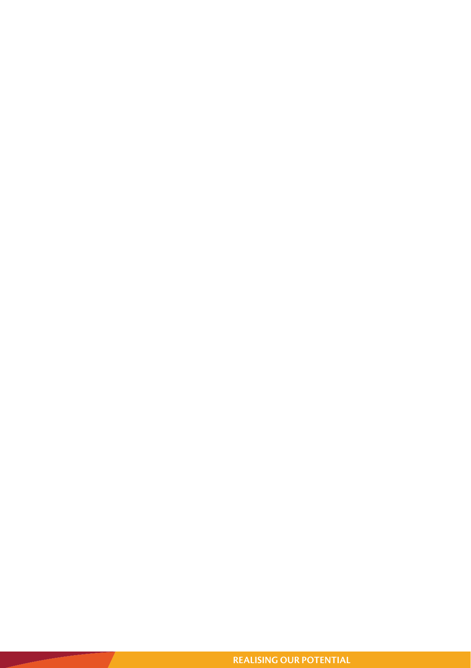**REALISING OUR POTENTIAL**